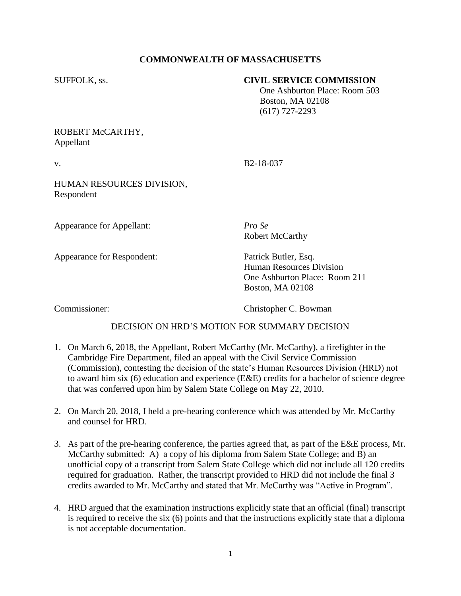# **COMMONWEALTH OF MASSACHUSETTS**

#### SUFFOLK, ss. **CIVIL SERVICE COMMISSION**

 One Ashburton Place: Room 503 Boston, MA 02108 (617) 727-2293

### ROBERT McCARTHY, Appellant

v. B2-18-037

## HUMAN RESOURCES DIVISION, Respondent

Appearance for Appellant: *Pro Se*

Robert McCarthy

Appearance for Respondent: Patrick Butler, Esq. Human Resources Division One Ashburton Place: Room 211 Boston, MA 02108

Commissioner: Christopher C. Bowman

# DECISION ON HRD'S MOTION FOR SUMMARY DECISION

- 1. On March 6, 2018, the Appellant, Robert McCarthy (Mr. McCarthy), a firefighter in the Cambridge Fire Department, filed an appeal with the Civil Service Commission (Commission), contesting the decision of the state's Human Resources Division (HRD) not to award him six (6) education and experience (E&E) credits for a bachelor of science degree that was conferred upon him by Salem State College on May 22, 2010.
- 2. On March 20, 2018, I held a pre-hearing conference which was attended by Mr. McCarthy and counsel for HRD.
- 3. As part of the pre-hearing conference, the parties agreed that, as part of the E&E process, Mr. McCarthy submitted: A) a copy of his diploma from Salem State College; and B) an unofficial copy of a transcript from Salem State College which did not include all 120 credits required for graduation. Rather, the transcript provided to HRD did not include the final 3 credits awarded to Mr. McCarthy and stated that Mr. McCarthy was "Active in Program".
- 4. HRD argued that the examination instructions explicitly state that an official (final) transcript is required to receive the six (6) points and that the instructions explicitly state that a diploma is not acceptable documentation.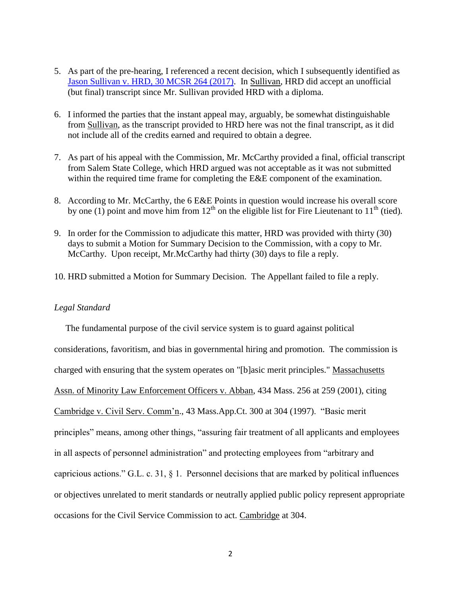- 5. As part of the pre-hearing, I referenced a recent decision, which I subsequently identified as [Jason Sullivan v. HRD, 30 MCSR 264 \(2017\).](https://www.mass.gov/files/documents/2017/06/bac/sullivan_jason_060817.pdf) In Sullivan, HRD did accept an unofficial (but final) transcript since Mr. Sullivan provided HRD with a diploma.
- 6. I informed the parties that the instant appeal may, arguably, be somewhat distinguishable from Sullivan, as the transcript provided to HRD here was not the final transcript, as it did not include all of the credits earned and required to obtain a degree.
- 7. As part of his appeal with the Commission, Mr. McCarthy provided a final, official transcript from Salem State College, which HRD argued was not acceptable as it was not submitted within the required time frame for completing the E&E component of the examination.
- 8. According to Mr. McCarthy, the 6 E&E Points in question would increase his overall score by one (1) point and move him from  $12<sup>th</sup>$  on the eligible list for Fire Lieutenant to  $11<sup>th</sup>$  (tied).
- 9. In order for the Commission to adjudicate this matter, HRD was provided with thirty (30) days to submit a Motion for Summary Decision to the Commission, with a copy to Mr. McCarthy. Upon receipt, Mr.McCarthy had thirty (30) days to file a reply.
- 10. HRD submitted a Motion for Summary Decision. The Appellant failed to file a reply.

#### *Legal Standard*

 The fundamental purpose of the civil service system is to guard against political considerations, favoritism, and bias in governmental hiring and promotion. The commission is charged with ensuring that the system operates on "[b]asic merit principles." Massachusetts Assn. of Minority Law Enforcement Officers v. Abban, 434 Mass. 256 at 259 (2001), citing Cambridge v. Civil Serv. Comm'n., 43 Mass.App.Ct. 300 at 304 (1997). "Basic merit principles" means, among other things, "assuring fair treatment of all applicants and employees in all aspects of personnel administration" and protecting employees from "arbitrary and capricious actions." G.L. c. 31, § 1. Personnel decisions that are marked by political influences or objectives unrelated to merit standards or neutrally applied public policy represent appropriate occasions for the Civil Service Commission to act. Cambridge at 304.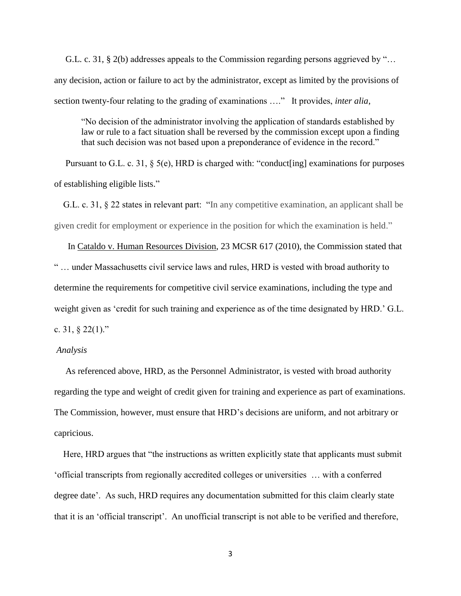G.L. c. 31, § 2(b) addresses appeals to the Commission regarding persons aggrieved by "… any decision, action or failure to act by the administrator, except as limited by the provisions of section twenty-four relating to the grading of examinations …." It provides, *inter alia*,

"No decision of the administrator involving the application of standards established by law or rule to a fact situation shall be reversed by the commission except upon a finding that such decision was not based upon a preponderance of evidence in the record."

Pursuant to G.L. c. 31, § 5(e), HRD is charged with: "conduct[ing] examinations for purposes of establishing eligible lists."

 G.L. c. 31, § 22 states in relevant part: "In any competitive examination, an applicant shall be given credit for employment or experience in the position for which the examination is held."

 In Cataldo v. Human Resources Division, 23 MCSR 617 (2010), the Commission stated that " … under Massachusetts civil service laws and rules, HRD is vested with broad authority to determine the requirements for competitive civil service examinations, including the type and weight given as 'credit for such training and experience as of the time designated by HRD.' G.L. c. 31, § 22(1)."

#### *Analysis*

 As referenced above, HRD, as the Personnel Administrator, is vested with broad authority regarding the type and weight of credit given for training and experience as part of examinations. The Commission, however, must ensure that HRD's decisions are uniform, and not arbitrary or capricious.

 Here, HRD argues that "the instructions as written explicitly state that applicants must submit 'official transcripts from regionally accredited colleges or universities … with a conferred degree date'. As such, HRD requires any documentation submitted for this claim clearly state that it is an 'official transcript'. An unofficial transcript is not able to be verified and therefore,

3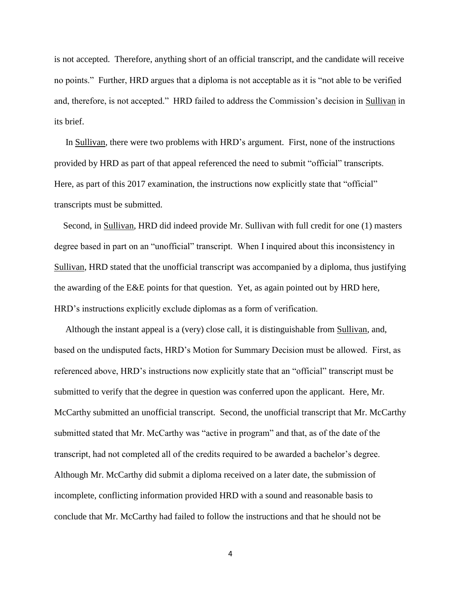is not accepted. Therefore, anything short of an official transcript, and the candidate will receive no points." Further, HRD argues that a diploma is not acceptable as it is "not able to be verified and, therefore, is not accepted." HRD failed to address the Commission's decision in Sullivan in its brief.

 In Sullivan, there were two problems with HRD's argument. First, none of the instructions provided by HRD as part of that appeal referenced the need to submit "official" transcripts. Here, as part of this 2017 examination, the instructions now explicitly state that "official" transcripts must be submitted.

 Second, in Sullivan, HRD did indeed provide Mr. Sullivan with full credit for one (1) masters degree based in part on an "unofficial" transcript. When I inquired about this inconsistency in Sullivan, HRD stated that the unofficial transcript was accompanied by a diploma, thus justifying the awarding of the E&E points for that question. Yet, as again pointed out by HRD here, HRD's instructions explicitly exclude diplomas as a form of verification.

 Although the instant appeal is a (very) close call, it is distinguishable from Sullivan, and, based on the undisputed facts, HRD's Motion for Summary Decision must be allowed. First, as referenced above, HRD's instructions now explicitly state that an "official" transcript must be submitted to verify that the degree in question was conferred upon the applicant. Here, Mr. McCarthy submitted an unofficial transcript. Second, the unofficial transcript that Mr. McCarthy submitted stated that Mr. McCarthy was "active in program" and that, as of the date of the transcript, had not completed all of the credits required to be awarded a bachelor's degree. Although Mr. McCarthy did submit a diploma received on a later date, the submission of incomplete, conflicting information provided HRD with a sound and reasonable basis to conclude that Mr. McCarthy had failed to follow the instructions and that he should not be

4